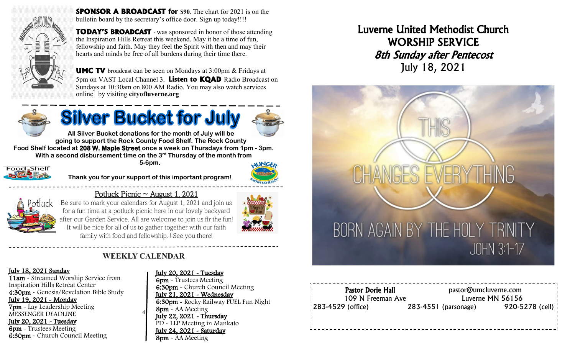

**SPONSOR A BROADCAST** for \$90. The chart for 2021 is on the bulletin board by the secretary's office door. Sign up today!!!!

**TODAY'S BROADCAST -** was sponsored in honor of those attending the Inspiration Hills Retreat this weekend. May it be a time of fun, fellowship and faith. May they feel the Spirit with then and may their hearts and minds be free of all burdens during their time there.



**UMC TV** broadcast can be seen on Mondays at 3:00pm & Fridays at 5pm on VAST Local Channel 3. **Listen to KQAD** Radio Broadcast on Sundays at 10:30am on 800 AM Radio. You may also watch services online by visiting **cityofluverne.org**



# **Silver Bucket for July**



**All Silver Bucket donations for the month of July will be going to support the Rock County Food Shelf. The Rock County Food Shelf located at 208 W. Maple Street once a week on Thursdays from 1pm - 3pm. With a second disbursement time on the 3rd Thursday of the month from 5-6pm. AUNGE** Food, Shelf



**Thank you for your support of this important program!**



**ENGRAN** 

Potluck Picnic  $\sim$  August 1, 2021



family with food and fellowship. ! See you there!

## **WEEKLY CALENDAR**

4

#### July 18, 2021 Sunday

11am - Streamed Worship Service from Inspiration Hills Retreat Center 4:30pm - Genesis/Revelation Bible Study July 19, 2021 - Monday 7pm - Lay Leadership Meeting MESSENGER DEADLINE July 20, 2021 - Tuesday 6pm - Trustees Meeting 6:30pm - Church Council Meeting

#### July 20, 2021 - Tuesday

6pm - Trustees Meeting 6:30pm - Church Council Meeting July 21, 2021 - Wednesday 6:30pm - Rocky Railway FUEL Fun Night 8pm - AA Meeting July 22, 2021 - Thursday PD - LLP Meeting in Mankato July 24, 2021 - Saturday 8pm - AA Meeting

Luverne United Methodist Church WORSHIP SERVICE 8th Sunday after Pentecost July 18, 2021